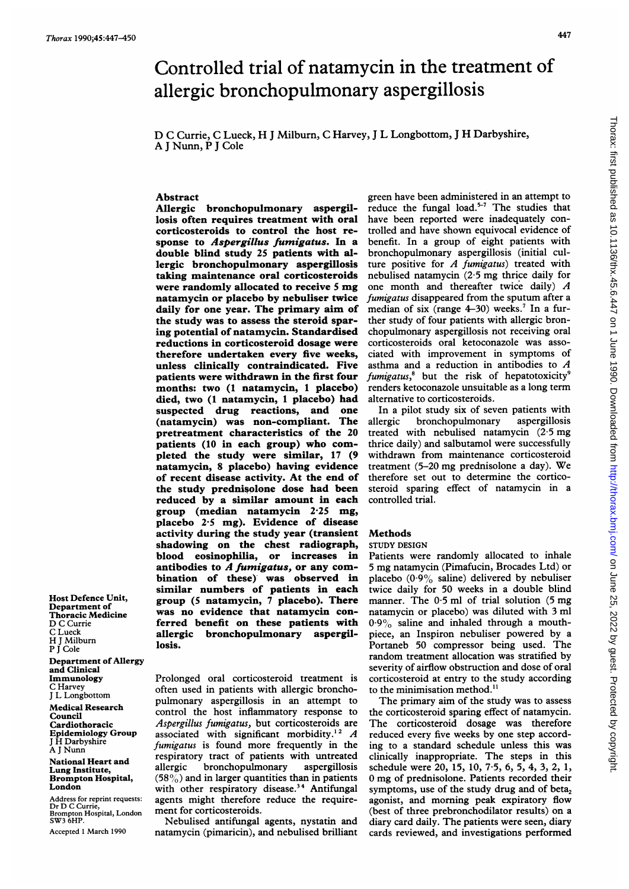# 447

# Controlled trial of natamycin in the treatment of allergic bronchopulmonary aspergillosis

D C Currie, C Lueck, H <sup>J</sup> Milburn, C Harvey, <sup>J</sup> L Longbottom, <sup>J</sup> H Darbyshire, A <sup>J</sup> Nunn, P <sup>J</sup> Cole

#### Abstract

Allergic bronchopulmonary aspergillosis often requires treatment with oral corticosteroids to control the host response to Aspergillus fumigatus. In a double blind study 25 patients with allergic bronchopulmonary aspergillosis taking maintenance oral corticosteroids were randomly allocated to receive <sup>5</sup> mg natamycin or placebo by nebuliser twice daily for one year. The primary aim of the study was to assess the steroid sparing potential of natamycin. Standardised reductions in corticosteroid dosage were therefore undertaken every five weeks, unless clinically contraindicated. Five patients were withdrawn in the first four months: two (1 natamycin, <sup>1</sup> placebo) died, two (1 natamycin, <sup>1</sup> placebo) had suspected drug reactions, and one (natamycin) was non-compliant. The pretreatment characteristics of the 20 patients (10 in each group) who completed the study were similar, 17 (9 natamycin, 8 placebo) having evidence of recent disease activity. At the end of the study prednisolone dose had been reduced by a similar amount in each group (median natamycin 2 25 mg, placebo 2-5 mg). Evidence of disease activity during the study year (transient shadowing on the chest radiograph, blood eosinophilia, or increases in antibodies to  $\overline{A}$  fumigatus, or any combination of these) was observed in similar numbers of patients in each group (5 natamycin, <sup>7</sup> placebo). There was no evidence that natamycin conferred benefit on these patients with allergic bronchopulmonary aspergillosis.

Host Defence Unit, Department of Thoracic Medicine D C Currie C Lueck H J Milburn P J Cole

Department of Allergy and Clinical Immunology C Harvey <sup>J</sup> L Longbottom Medical Research Council Cardiothoracic Epidemiology Group <sup>J</sup> H Darbyshire

A <sup>J</sup> Nunn National Heart and

Lung Institute, Brompton Hospital, London

Address for reprint requests: Dr D C Currie, Brompton Hospital, London SW3 6HP.

Accepted <sup>1</sup> March 1990

Prolonged oral corticosteroid treatment is often used in patients with allergic bronchopulmonary aspergillosis in an attempt to control the host inflammatory response to Aspergillus fumigatus, but corticosteroids are associated with significant morbidity.<sup>12</sup>  $A$ fumigatus is found more frequently in the respiratory tract of patients with untreated allergic bronchopulmonary aspergillosis  $(58\%)$  and in larger quantities than in patients with other respiratory disease.<sup>34</sup> Antifungal agents might therefore reduce the requirement for corticosteroids.

Nebulised antifungal agents, nystatin and natamycin (pimaricin), and nebulised brilliant

green have been administered in an attempt to reduce the fungal load. $5-7$  The studies that have been reported were inadequately controlled and have shown equivocal evidence of benefit. In a group of eight patients with bronchopulmonary aspergillosis (initial culture positive for  $A$  fumigatus) treated with nebulised natamycin (2-5 mg thrice daily for one month and thereafter twice daily) A fumigatus disappeared from the sputum after a median of six (range  $4-30$ ) weeks.<sup>7</sup> In a further study of four patients with allergic bronchopulmonary aspergillosis not receiving oral corticosteroids oral ketoconazole was associated with improvement in symptoms of asthma and <sup>a</sup> reduction in antibodies to A fumigatus, $\frac{1}{2}$  but the risk of hepatotoxicity<sup>9</sup> renders ketoconazole unsuitable as a long term alternative to corticosteroids.

In a pilot study six of seven patients with allergic bronchopulmonary aspergillosis treated with nebulised natamycin (2-5 mg thrice daily) and salbutamol were successfully withdrawn from maintenance corticosteroid treatment (5-20 mg prednisolone <sup>a</sup> day). We therefore set out to determine the corticosteroid sparing effect of natamycin in a controlled trial.

## Methods

## STUDY DESIGN

Patients were randomly allocated to inhale <sup>5</sup> mg natamycin (Pimafucin, Brocades Ltd) or placebo  $(0.9\%$  saline) delivered by nebuliser twice daily for 50 weeks in a double blind manner. The 0.5 ml of trial solution (5 mg natamycin or placebo) was diluted with 3 ml  $0.9\%$  saline and inhaled through a mouthpiece, an Inspiron nebuliser powered by a Portaneb 50 compressor being used. The random treatment allocation was stratified by severity of airflow obstruction and dose of oral corticosteroid at entry to the study according to the minimisation method.<sup>11</sup>

The primary aim of the study was to assess the corticosteroid sparing effect of natamycin. The corticosteroid dosage was therefore reduced every five weeks by one step according to a standard schedule unless this was clinically inappropriate. The steps in this schedule were 20, 15, 10, <sup>7</sup> 5, 6, 5, 4, 3, 2, 1, 0 mg of prednisolone. Patients recorded their symptoms, use of the study drug and of beta, agonist, and moming peak expiratory flow (best of three prebronchodilator results) on a diary card daily. The patients were seen, diary cards reviewed, and investigations performed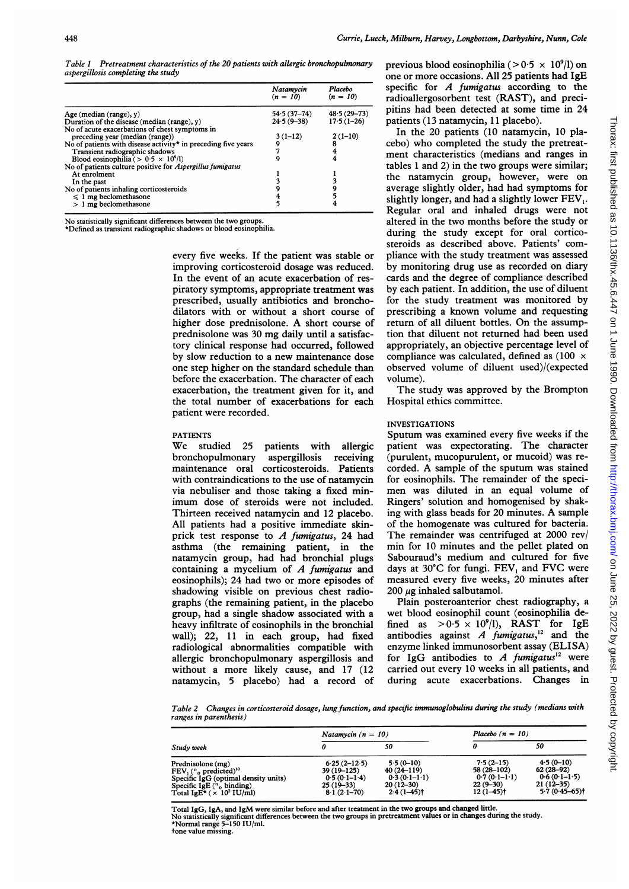Table <sup>1</sup> Pretreatment characteristics of the 20 patients with allergic bronchopulmonary aspergillosis completing the study

|                                                               | Natamycin<br>$(n = 10)$ | Placebo<br>$(n = 10)$ |
|---------------------------------------------------------------|-------------------------|-----------------------|
| Age (median (range), $y$ )                                    | $54.5(37-74)$           | $48.5(29 - 73)$       |
| Duration of the disease (median (range), y)                   | $24.5(9-38)$            | $17.5(1 - 26)$        |
| No of acute exacerbations of chest symptoms in                |                         |                       |
| preceding year (median (range))                               | $3(1-12)$               | $2(1-10)$             |
| No of patients with disease activity* in preceding five years |                         |                       |
| Transient radiographic shadows                                |                         |                       |
| Blood eosinophilia ( $> 0.5 \times 10^9$ /l)                  |                         |                       |
| No of patients culture positive for Aspergillus fumigatus     |                         |                       |
| At enrolment                                                  |                         |                       |
| In the past                                                   |                         |                       |
| No of patients inhaling corticosteroids                       | 9                       |                       |
| $\leqslant$ 1 mg beclomethasone                               |                         |                       |
| $> 1$ mg beclomethasone                                       | 5                       |                       |

No statistically significant differences between the two groups. \*Defined as transient radiographic shadows or blood eosinophilia.

every five weeks. If the patient was stable or improving corticosteroid dosage was reduced. In the event of an acute exacerbation of respiratory symptoms, appropriate treatment was prescribed, usually antibiotics and bronchodilators with or without a short course of higher dose prednisolone. A short course of prednisolone was 30 mg daily until <sup>a</sup> satisfactory clinical response had occurred, followed by slow reduction to a new maintenance dose one step higher on the standard schedule than before the exacerbation. The character of each exacerbation, the treatment given for it, and the total number of exacerbations for each patient were recorded.

#### PATIENTS

We studied 25 patients with allergic<br>bronchopulmonary aspergillosis receiving aspergillosis receiving maintenance oral corticosteroids. Patients with contraindications to the use of natamycin via nebuliser and those taking a fixed minimum dose of steroids were not included. Thirteen received natamycin and 12 placebo. All patients had a positive immediate skinprick test response to  $A$  fumigatus, 24 had asthma (the remaining patient, in the natamycin group, had had bronchial plugs containing a mycelium of  $A$  fumigatus and eosinophils); 24 had two or more episodes of shadowing visible on previous chest radiographs (the remaining patient, in the placebo group, had a single shadow associated with a heavy infiltrate of eosinophils in the bronchial wall); 22, 11 in each group, had fixed radiological abnormalities compatible with allergic bronchopulmonary aspergillosis and without a more likely cause, and 17 (12 natamycin, 5 placebo) had a record of previous blood eosinophilia ( $> 0.5 \times 10^9$ /l) on one or more occasions. All 25 patients had IgE specific for  $A$  fumigatus according to the radioallergosorbent test (RAST), and precipitins had been detected at some time in 24 patients (13 natamycin, 11 placebo).

In the 20 patients (10 natamycin, 10 placebo) who completed the study the pretreatment characteristics (medians and ranges in tables <sup>1</sup> and 2) in the two groups were similar; the natamycin group, however, were on average slightly older, had had symptoms for slightly longer, and had a slightly lower FEV,. Regular oral and inhaled drugs were not altered in the two months before the study or during the study except for oral corticosteroids as described above. Patients' compliance with the study treatment was assessed by monitoring drug use as recorded on diary cards and the degree of compliance described by each patient. In addition, the use of diluent for the study treatment was monitored by prescribing a known volume and requesting return of all diluent bottles. On the assumption that diluent not returned had been used appropriately, an objective percentage level of compliance was calculated, defined as  $(100 \times$ observed volume of diluent used)/(expected volume).

The study was approved by the Brompton Hospital ethics committee.

### INVESTIGATIONS

Sputum was examined every five weeks if the patient was expectorating. The character (purulent, mucopurulent, or mucoid) was recorded. A sample of the sputum was stained for eosinophils. The remainder of the specimen was diluted in an equal volume of Ringers' solution and homogenised by shaking with glass beads for <sup>20</sup> minutes. A sample of the homogenate was cultured for bacteria. The remainder was centrifuged at 2000 rev/ min for 10 minutes and the pellet plated on Sabouraud's medium and cultured for five days at 30°C for fungi. FEV, and FVC were measured every five weeks, 20 minutes after  $200 \mu$ g inhaled salbutamol.

Plain posteroanterior chest radiography, a wet blood eosinophil count (eosinophilia defined as  $>0.5 \times 10^9$ /l), RAST for IgE antibodies against A fumigatus,<sup>12</sup> and the enzyme linked immunosorbent assay (ELISA) for IgG antibodies to  $A$  fumigatus<sup>12</sup> were carried out every 10 weeks in all patients, and during acute exacerbations. Changes in

Table 2 Changes in corticosteroid dosage, lung function, and specific immunoglobulins during the study (medians with ranges in parenthesis)

| Study week                                                                                                                                                                             | Natamycin $(n = 10)$                                                               |                                                                             | Placebo $(n = 10)$                                                         |                                                                                     |
|----------------------------------------------------------------------------------------------------------------------------------------------------------------------------------------|------------------------------------------------------------------------------------|-----------------------------------------------------------------------------|----------------------------------------------------------------------------|-------------------------------------------------------------------------------------|
|                                                                                                                                                                                        |                                                                                    | 50                                                                          | 0                                                                          | 50                                                                                  |
| Prednisolone (mg)<br>$FEV1 (°0 predicted)10$<br>Specific IgG (optimal density units)<br>Specific IgE $(^{\circ}$ <sub>0</sub> binding)<br>Total IgE* ( $\times$ 10 <sup>2</sup> IU/ml) | $6.25(2 - 12.5)$<br>$39(19-125)$<br>$0.5(0.1-1.4)$<br>$25(19-33)$<br>$8.1(2.1-70)$ | $5.5(0-10)$<br>$40(24-119)$<br>$0.3(0.1-1.1)$<br>$20(12-30)$<br>$2.4(1-45)$ | $7.5(2-15)$<br>58 (28-102)<br>$0.7(0.1-1.1)$<br>$22(9 - 30)$<br>$12(1-45)$ | $4.5(0-10)$<br>$62(28-92)$<br>$0.6(0.1-1.5)$<br>$21(12 - 35)$<br>$5.7(0.45 - 65)$ t |

Total IgG, IgA, and IgM were similar before and after treatment in the two groups and changed little. No statistically significant differences between the two groups in pretreatment values or in changes during the study. \*Normal range 5-150 IUfml. tone value missing.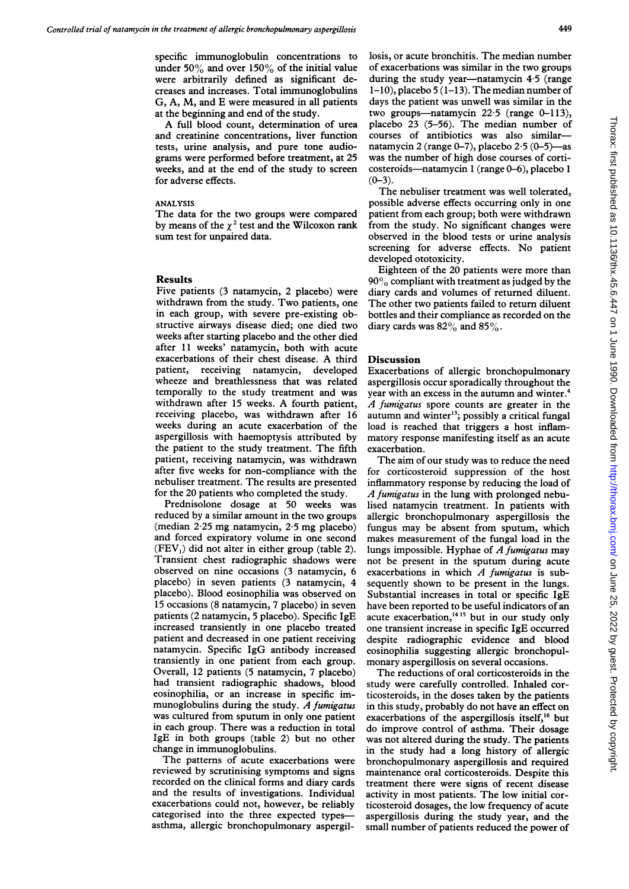A full blood count, determination of urea and creatinine concentrations, liver function tests, urine analysis, and pure tone audiograms were performed before treatment, at 25 weeks, and at the end of the study to screen for adverse effects.

## ANALYSIS

The data for the two groups were compared by means of the  $\chi^2$  test and the Wilcoxon rank sum test for unpaired data.

## Results

Five patients (3 natamycin, 2 placebo) were withdrawn from the study. Two patients, one in each group, with severe pre-existing obstructive airways disease died; one died two weeks after starting placebo and the other died after <sup>11</sup> weeks' natamycin, both with acute exacerbations of their chest disease. A third patient, receiving natamycin, developed wheeze and breathlessness that was related temporally to the study treatment and was withdrawn after <sup>15</sup> weeks. A fourth patient, receiving placebo, was withdrawn after 16 weeks during an acute exacerbation of the aspergillosis with haemoptysis attributed by the patient to the study treatment. The fifth patient, receiving natamycin, was withdrawn after five weeks for non-compliance with the nebuliser treatment. The results are presented for the 20 patients who completed the study.

Prednisolone dosage at 50 weeks was reduced by a similar amount in the two groups (median <sup>2</sup> <sup>25</sup> mg natamycin, <sup>2</sup> <sup>5</sup> mg placebo) and forced expiratory volume in one second  $(FEV<sub>1</sub>)$  did not alter in either group (table 2). Transient chest radiographic shadows were observed on nine occasions (3 natamycin, 6 placebo) in seven patients (3 natamycin, 4 placebo). Blood eosinophilia was observed on 15 occasions (8 natamycin, 7 placebo) in seven patients (2 natamycin, 5 placebo). Specific IgE increased transiently in one placebo treated patient and decreased in one patient receiving natamycin. Specific IgG antibody increased transiently in one patient from each group. Overall, 12 patients (5 natamycin, 7 placebo) had transient radiographic shadows, blood eosinophilia, or an increase in specific immunoglobulins during the study. A fumigatus was cultured from sputum in only one patient in each group. There was a reduction in total IgE in both groups (table 2) but no other change in immunoglobulins.

The patterns of acute exacerbations were reviewed by scrutinising symptoms and signs recorded on the clinical forms and diary cards and the results of investigations. Individual exacerbations could not, however, be reliably categorised into the three expected typesasthma, allergic bronchopulmonary aspergil-

losis, or acute bronchitis. The median number of exacerbations was similar in the two groups during the study year—natamycin  $4.5$  (range 1-10), placebo 5 (1-13). The median number of days the patient was unwell was similar in the two groups-natamycin  $22.5$  (range 0-113), placebo 23 (5-56). The median number of courses of antibiotics was also similarnatamycin 2 (range 0-7), placebo  $2.5$  (0-5)-as was the number of high dose courses of corticosteroids-natamycin 1 (range 0-6), placebo 1  $(0 - 3)$ .

The nebuliser treatment was well tolerated, possible adverse effects occurring only in one patient from each group; both were withdrawn from the study. No significant changes were observed in the blood tests or urine analysis screening for adverse effects. No patient developed ototoxicity.

Eighteen of the 20 patients were more than  $90\%$  compliant with treatment as judged by the diary cards and volumes of returned diluent. The other two patients failed to return diluent bottles and their compliance as recorded on the diary cards was  $82\%$  and  $85\%$ .

# Discussion

Exacerbations of allergic bronchopulmonary aspergillosis occur sporadically throughout the year with an excess in the autumn and winter.4 A fumigatus spore counts are greater in the autumn and winter $13$ ; possibly a critical fungal load is reached that triggers a host inflammatory response manifesting itself as an acute exacerbation.

The aim of our study was to reduce the need for corticosteroid suppression of the host inflammatory response by reducing the load of A fumigatus in the lung with prolonged nebulised natamycin treatment. In patients with allergic bronchopulmonary aspergillosis the fungus may be absent from sputum, which makes measurement of the fungal load in the lungs impossible. Hyphae of  $A$  fumigatus may not be present in the sputum during acute exacerbations in which  $A$  fumigatus is subsequently shown to be present in the lungs. Substantial increases in total or specific IgE have been reported to be useful indicators of an acute exacerbation,<sup>1415</sup> but in our study only one transient increase in specific IgE occurred despite radiographic evidence and blood eosinophilia suggesting allergic bronchopulmonary aspergillosis on several occasions.

The reductions of oral corticosteroids in the study were carefully controlled. Inhaled corticosteroids, in the doses taken by the patients in this study, probably do not have an effect on exacerbations of the aspergillosis itself,<sup>16</sup> but do improve control of asthma. Their dosage was not altered during the study. The patients in the study had a long history of allergic bronchopulmonary aspergillosis and required maintenance oral corticosteroids. Despite this treatment there were signs of recent disease activity in most patients. The low initial corticosteroid dosages, the low frequency of acute aspergillosis during the study year, and the small number of patients reduced the power of